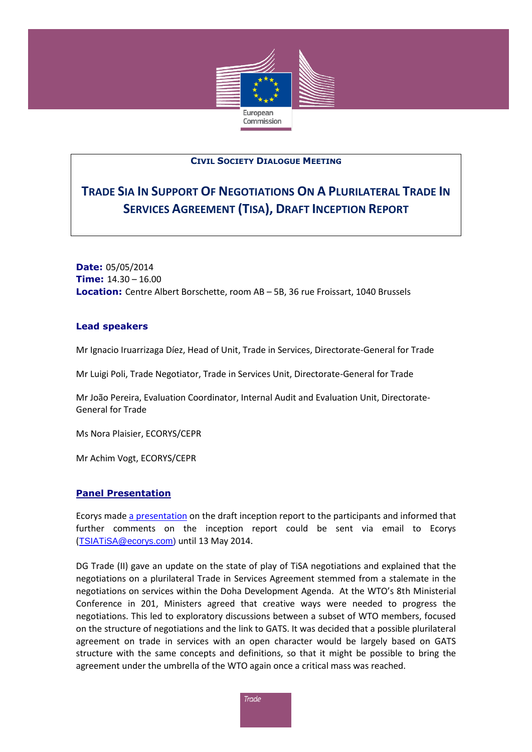

## **CIVIL SOCIETY DIALOGUE MEETING**

# **TRADE SIA IN SUPPORT OF NEGOTIATIONS ON A PLURILATERAL TRADE IN SERVICES AGREEMENT (TISA), DRAFT INCEPTION REPORT**

**Date:** 05/05/2014 **Time:** 14.30 – 16.00 **Location:** Centre Albert Borschette, room AB – 5B, 36 rue Froissart, 1040 Brussels

#### **Lead speakers**

Mr Ignacio Iruarrizaga Díez, Head of Unit, Trade in Services, Directorate-General for Trade

Mr Luigi Poli, Trade Negotiator, Trade in Services Unit, Directorate-General for Trade

Mr João Pereira, Evaluation Coordinator, Internal Audit and Evaluation Unit, Directorate-General for Trade

Ms Nora Plaisier, ECORYS/CEPR

Mr Achim Vogt, ECORYS/CEPR

## **Panel Presentation**

Ecorys made [a presentation](http://trade.ec.europa.eu/doclib/html/152454.htm) on the draft inception report to the participants and informed that further comments on the inception report could be sent via email to Ecorys ([TSIATiSA@ecorys.com\)](mailto:TSIATiSA@ecorys.com) until 13 May 2014.

DG Trade (II) gave an update on the state of play of TiSA negotiations and explained that the negotiations on a plurilateral Trade in Services Agreement stemmed from a stalemate in the negotiations on services within the Doha Development Agenda. At the WTO's 8th Ministerial Conference in 201, Ministers agreed that creative ways were needed to progress the negotiations. This led to exploratory discussions between a subset of WTO members, focused on the structure of negotiations and the link to GATS. It was decided that a possible plurilateral agreement on trade in services with an open character would be largely based on GATS structure with the same concepts and definitions, so that it might be possible to bring the agreement under the umbrella of the WTO again once a critical mass was reached.

**Trade**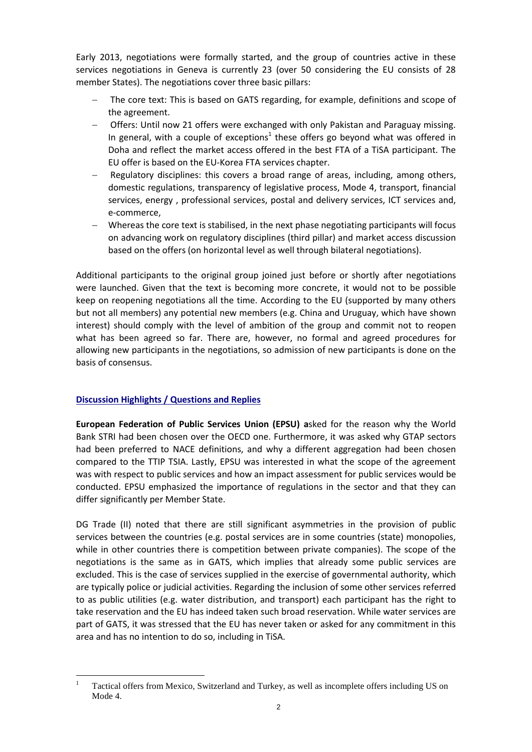Early 2013, negotiations were formally started, and the group of countries active in these services negotiations in Geneva is currently 23 (over 50 considering the EU consists of 28 member States). The negotiations cover three basic pillars:

- The core text: This is based on GATS regarding, for example, definitions and scope of the agreement.
- Offers: Until now 21 offers were exchanged with only Pakistan and Paraguay missing. In general, with a couple of exceptions<sup>1</sup> these offers go beyond what was offered in Doha and reflect the market access offered in the best FTA of a TiSA participant. The EU offer is based on the EU-Korea FTA services chapter.
- Regulatory disciplines: this covers a broad range of areas, including, among others, domestic regulations, transparency of legislative process, Mode 4, transport, financial services, energy , professional services, postal and delivery services, ICT services and, e-commerce,
- Whereas the core text is stabilised, in the next phase negotiating participants will focus on advancing work on regulatory disciplines (third pillar) and market access discussion based on the offers (on horizontal level as well through bilateral negotiations).

Additional participants to the original group joined just before or shortly after negotiations were launched. Given that the text is becoming more concrete, it would not to be possible keep on reopening negotiations all the time. According to the EU (supported by many others but not all members) any potential new members (e.g. China and Uruguay, which have shown interest) should comply with the level of ambition of the group and commit not to reopen what has been agreed so far. There are, however, no formal and agreed procedures for allowing new participants in the negotiations, so admission of new participants is done on the basis of consensus.

# **Discussion Highlights / Questions and Replies**

1

**European Federation of Public Services Union (EPSU) a**sked for the reason why the World Bank STRI had been chosen over the OECD one. Furthermore, it was asked why GTAP sectors had been preferred to NACE definitions, and why a different aggregation had been chosen compared to the TTIP TSIA. Lastly, EPSU was interested in what the scope of the agreement was with respect to public services and how an impact assessment for public services would be conducted. EPSU emphasized the importance of regulations in the sector and that they can differ significantly per Member State.

DG Trade (II) noted that there are still significant asymmetries in the provision of public services between the countries (e.g. postal services are in some countries (state) monopolies, while in other countries there is competition between private companies). The scope of the negotiations is the same as in GATS, which implies that already some public services are excluded. This is the case of services supplied in the exercise of governmental authority, which are typically police or judicial activities. Regarding the inclusion of some other services referred to as public utilities (e.g. water distribution, and transport) each participant has the right to take reservation and the EU has indeed taken such broad reservation. While water services are part of GATS, it was stressed that the EU has never taken or asked for any commitment in this area and has no intention to do so, including in TiSA.

<sup>&</sup>lt;sup>1</sup> Tactical offers from Mexico, Switzerland and Turkey, as well as incomplete offers including US on Mode 4.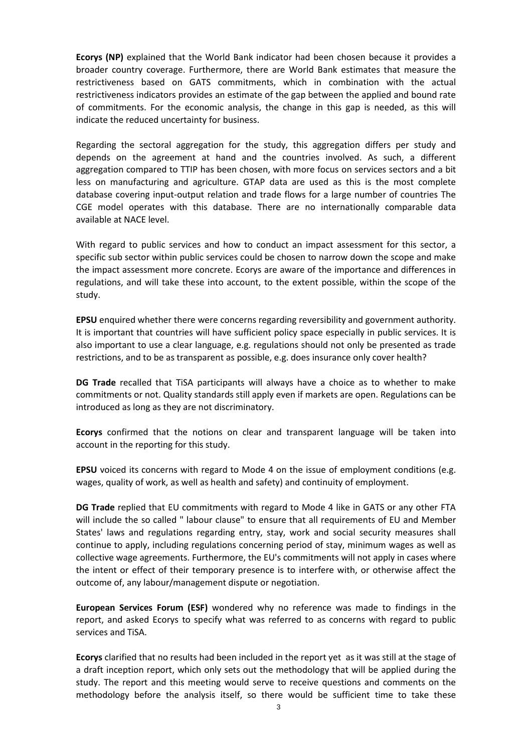**Ecorys (NP)** explained that the World Bank indicator had been chosen because it provides a broader country coverage. Furthermore, there are World Bank estimates that measure the restrictiveness based on GATS commitments, which in combination with the actual restrictiveness indicators provides an estimate of the gap between the applied and bound rate of commitments. For the economic analysis, the change in this gap is needed, as this will indicate the reduced uncertainty for business.

Regarding the sectoral aggregation for the study, this aggregation differs per study and depends on the agreement at hand and the countries involved. As such, a different aggregation compared to TTIP has been chosen, with more focus on services sectors and a bit less on manufacturing and agriculture. GTAP data are used as this is the most complete database covering input-output relation and trade flows for a large number of countries The CGE model operates with this database. There are no internationally comparable data available at NACE level.

With regard to public services and how to conduct an impact assessment for this sector, a specific sub sector within public services could be chosen to narrow down the scope and make the impact assessment more concrete. Ecorys are aware of the importance and differences in regulations, and will take these into account, to the extent possible, within the scope of the study.

**EPSU** enquired whether there were concerns regarding reversibility and government authority. It is important that countries will have sufficient policy space especially in public services. It is also important to use a clear language, e.g. regulations should not only be presented as trade restrictions, and to be as transparent as possible, e.g. does insurance only cover health?

**DG Trade** recalled that TiSA participants will always have a choice as to whether to make commitments or not. Quality standards still apply even if markets are open. Regulations can be introduced as long as they are not discriminatory.

**Ecorys** confirmed that the notions on clear and transparent language will be taken into account in the reporting for this study.

**EPSU** voiced its concerns with regard to Mode 4 on the issue of employment conditions (e.g. wages, quality of work, as well as health and safety) and continuity of employment.

**DG Trade** replied that EU commitments with regard to Mode 4 like in GATS or any other FTA will include the so called " labour clause" to ensure that all requirements of EU and Member States' laws and regulations regarding entry, stay, work and social security measures shall continue to apply, including regulations concerning period of stay, minimum wages as well as collective wage agreements. Furthermore, the EU's commitments will not apply in cases where the intent or effect of their temporary presence is to interfere with, or otherwise affect the outcome of, any labour/management dispute or negotiation.

**European Services Forum (ESF)** wondered why no reference was made to findings in the report, and asked Ecorys to specify what was referred to as concerns with regard to public services and TiSA.

**Ecorys** clarified that no results had been included in the report yet as it was still at the stage of a draft inception report, which only sets out the methodology that will be applied during the study. The report and this meeting would serve to receive questions and comments on the methodology before the analysis itself, so there would be sufficient time to take these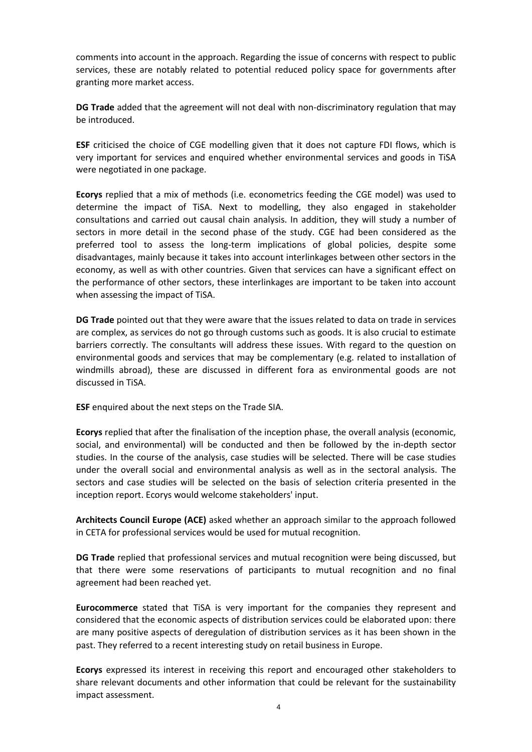comments into account in the approach. Regarding the issue of concerns with respect to public services, these are notably related to potential reduced policy space for governments after granting more market access.

**DG Trade** added that the agreement will not deal with non-discriminatory regulation that may be introduced.

**ESF** criticised the choice of CGE modelling given that it does not capture FDI flows, which is very important for services and enquired whether environmental services and goods in TiSA were negotiated in one package.

**Ecorys** replied that a mix of methods (i.e. econometrics feeding the CGE model) was used to determine the impact of TiSA. Next to modelling, they also engaged in stakeholder consultations and carried out causal chain analysis. In addition, they will study a number of sectors in more detail in the second phase of the study. CGE had been considered as the preferred tool to assess the long-term implications of global policies, despite some disadvantages, mainly because it takes into account interlinkages between other sectors in the economy, as well as with other countries. Given that services can have a significant effect on the performance of other sectors, these interlinkages are important to be taken into account when assessing the impact of TiSA.

**DG Trade** pointed out that they were aware that the issues related to data on trade in services are complex, as services do not go through customs such as goods. It is also crucial to estimate barriers correctly. The consultants will address these issues. With regard to the question on environmental goods and services that may be complementary (e.g. related to installation of windmills abroad), these are discussed in different fora as environmental goods are not discussed in TiSA.

**ESF** enquired about the next steps on the Trade SIA.

**Ecorys** replied that after the finalisation of the inception phase, the overall analysis (economic, social, and environmental) will be conducted and then be followed by the in-depth sector studies. In the course of the analysis, case studies will be selected. There will be case studies under the overall social and environmental analysis as well as in the sectoral analysis. The sectors and case studies will be selected on the basis of selection criteria presented in the inception report. Ecorys would welcome stakeholders' input.

**Architects Council Europe (ACE)** asked whether an approach similar to the approach followed in CETA for professional services would be used for mutual recognition.

**DG Trade** replied that professional services and mutual recognition were being discussed, but that there were some reservations of participants to mutual recognition and no final agreement had been reached yet.

**Eurocommerce** stated that TiSA is very important for the companies they represent and considered that the economic aspects of distribution services could be elaborated upon: there are many positive aspects of deregulation of distribution services as it has been shown in the past. They referred to a recent interesting study on retail business in Europe.

**Ecorys** expressed its interest in receiving this report and encouraged other stakeholders to share relevant documents and other information that could be relevant for the sustainability impact assessment.